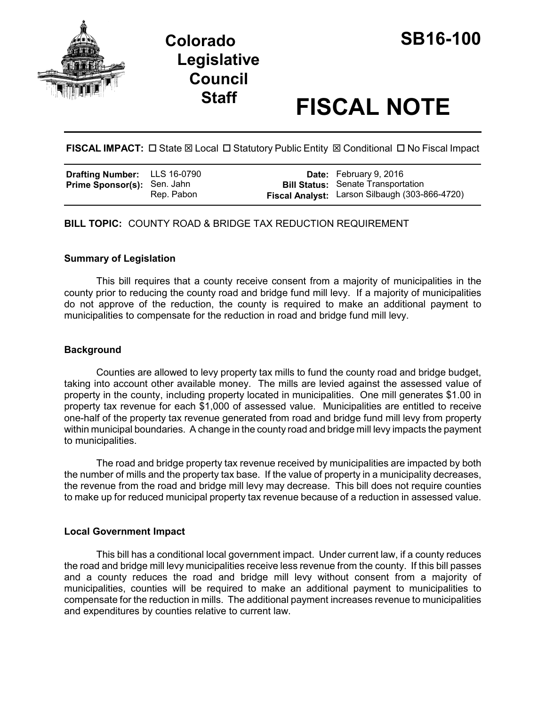

# **Staff FISCAL NOTE**

**FISCAL IMPACT:** □ State ⊠ Local □ Statutory Public Entity **図 Conditional □ No Fiscal Impact** 

| <b>Drafting Number:</b> LLS 16-0790 |            | <b>Date:</b> February 9, 2016                         |
|-------------------------------------|------------|-------------------------------------------------------|
| <b>Prime Sponsor(s):</b> Sen. Jahn  |            | <b>Bill Status:</b> Senate Transportation             |
|                                     | Rep. Pabon | <b>Fiscal Analyst:</b> Larson Silbaugh (303-866-4720) |

**BILL TOPIC:** COUNTY ROAD & BRIDGE TAX REDUCTION REQUIREMENT

## **Summary of Legislation**

This bill requires that a county receive consent from a majority of municipalities in the county prior to reducing the county road and bridge fund mill levy. If a majority of municipalities do not approve of the reduction, the county is required to make an additional payment to municipalities to compensate for the reduction in road and bridge fund mill levy.

#### **Background**

Counties are allowed to levy property tax mills to fund the county road and bridge budget, taking into account other available money. The mills are levied against the assessed value of property in the county, including property located in municipalities. One mill generates \$1.00 in property tax revenue for each \$1,000 of assessed value. Municipalities are entitled to receive one-half of the property tax revenue generated from road and bridge fund mill levy from property within municipal boundaries. A change in the county road and bridge mill levy impacts the payment to municipalities.

The road and bridge property tax revenue received by municipalities are impacted by both the number of mills and the property tax base. If the value of property in a municipality decreases, the revenue from the road and bridge mill levy may decrease. This bill does not require counties to make up for reduced municipal property tax revenue because of a reduction in assessed value.

## **Local Government Impact**

This bill has a conditional local government impact. Under current law, if a county reduces the road and bridge mill levy municipalities receive less revenue from the county. If this bill passes and a county reduces the road and bridge mill levy without consent from a majority of municipalities, counties will be required to make an additional payment to municipalities to compensate for the reduction in mills. The additional payment increases revenue to municipalities and expenditures by counties relative to current law.